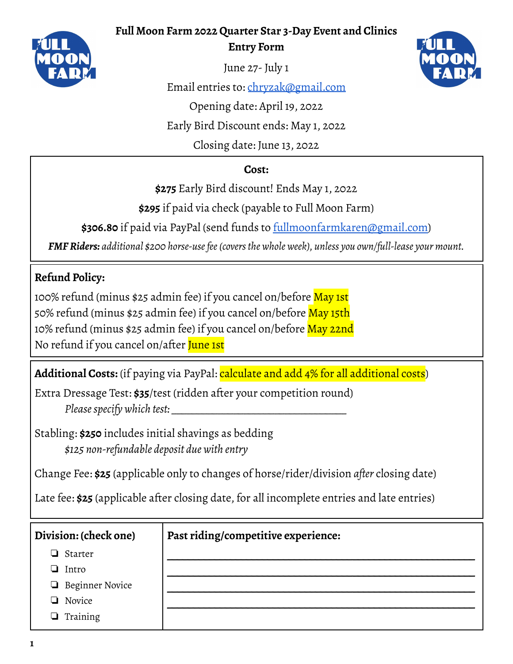#### **Full Moon Farm 2022 Quarter Star 3-Day Event and Clinics**



**Entry Form**



June 27-July 1

Email entries to: [chryzak@gmail.com](mailto:chryzak@gmail.com)

Opening date: April 19, 2022

Early Bird Discount ends: May 1, 2022

Closing date: June 13, 2022

## **Cost:**

**\$275** Early Bird discount! Ends May 1, 2022

**\$295** if paid via check (payable to Full Moon Farm)

**\$306.80** if paid via PayPal (send funds to [fullmoonfarmkaren@gmail.com\)](mailto:fullmoonfarmkaren@gmail.com)

*FMFRiders: additional \$200 horse-usefee(coversthe whole week), unless you own/full-lease your mount.*

# **Refund Policy:**

100% refund (minus \$25 admin fee) if you cancel on/before May 1st 50% refund (minus \$25 admin fee) if you cancel on/before May 15th 10% refund (minus \$25 admin fee) if you cancel on/before May 22nd No refund if you cancel on/after June 1st

**Additional Costs:** (if paying via PayPal: calculate and add 4% for all additional costs)

Extra Dressage Test: **\$35**/test (ridden after your competition round) *Pleasespecify which test: \_\_\_\_\_\_\_\_\_\_\_\_\_\_\_\_\_\_\_\_\_\_\_\_\_\_\_\_\_\_\_\_\_\_*

Stabling: **\$250** includes initial shavings as bedding *\$125 non-refundable deposit due with entry*

Change Fee: **\$25** (applicable only to changes of horse/rider/division *after* closing date)

Late fee: **\$25** (applicable after closing date, for all incomplete entries and late entries)

### **Division: (check one)**

- ❏ Starter
- ❏ Intro
- ❏ Beginner Novice
- ❏ Novice
- ❏ Training

### **Past riding/competitive experience:**

**\_\_\_\_\_\_\_\_\_\_\_\_\_\_\_\_\_\_\_\_\_\_\_\_\_\_\_\_\_\_\_\_\_\_\_\_\_\_\_\_\_\_\_\_\_\_\_\_\_\_\_\_\_\_\_\_\_\_ \_\_\_\_\_\_\_\_\_\_\_\_\_\_\_\_\_\_\_\_\_\_\_\_\_\_\_\_\_\_\_\_\_\_\_\_\_\_\_\_\_\_\_\_\_\_\_\_\_\_\_\_\_\_\_\_\_\_ \_\_\_\_\_\_\_\_\_\_\_\_\_\_\_\_\_\_\_\_\_\_\_\_\_\_\_\_\_\_\_\_\_\_\_\_\_\_\_\_\_\_\_\_\_\_\_\_\_\_\_\_\_\_\_\_\_\_ \_\_\_\_\_\_\_\_\_\_\_\_\_\_\_\_\_\_\_\_\_\_\_\_\_\_\_\_\_\_\_\_\_\_\_\_\_\_\_\_\_\_\_\_\_\_\_\_\_\_\_\_\_\_\_\_\_\_**